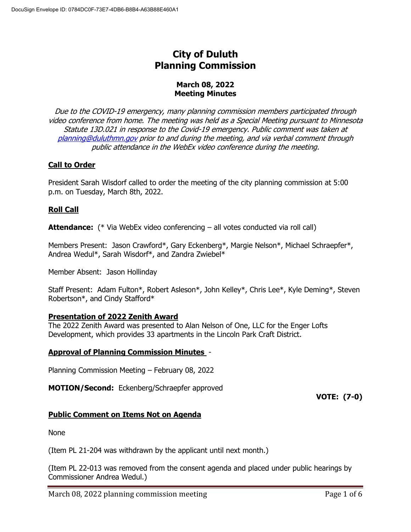# **City of Duluth Planning Commission**

#### **March 08, 2022 Meeting Minutes**

Due to the COVID-19 emergency, many planning commission members participated through video conference from home. The meeting was held as a Special Meeting pursuant to Minnesota Statute 13D.021 in response to the Covid-19 emergency. Public comment was taken at [planning@duluthmn.gov](mailto:planning@duluthmn.gov) prior to and during the meeting, and via verbal comment through public attendance in the WebEx video conference during the meeting.

# **Call to Order**

President Sarah Wisdorf called to order the meeting of the city planning commission at 5:00 p.m. on Tuesday, March 8th, 2022.

# **Roll Call**

**Attendance:** (\* Via WebEx video conferencing – all votes conducted via roll call)

Members Present: Jason Crawford\*, Gary Eckenberg\*, Margie Nelson\*, Michael Schraepfer\*, Andrea Wedul\*, Sarah Wisdorf\*, and Zandra Zwiebel\*

Member Absent: Jason Hollinday

Staff Present: Adam Fulton\*, Robert Asleson\*, John Kelley\*, Chris Lee\*, Kyle Deming\*, Steven Robertson\*, and Cindy Stafford\*

# **Presentation of 2022 Zenith Award**

The 2022 Zenith Award was presented to Alan Nelson of One, LLC for the Enger Lofts Development, which provides 33 apartments in the Lincoln Park Craft District.

# **Approval of Planning Commission Minutes** -

Planning Commission Meeting – February 08, 2022

**MOTION/Second:** Eckenberg/Schraepfer approved

**VOTE: (7-0)**

# **Public Comment on Items Not on Agenda**

None

(Item PL 21-204 was withdrawn by the applicant until next month.)

(Item PL 22-013 was removed from the consent agenda and placed under public hearings by Commissioner Andrea Wedul.)

March 08, 2022 planning commission meeting equation of  $\epsilon$  Page 1 of 6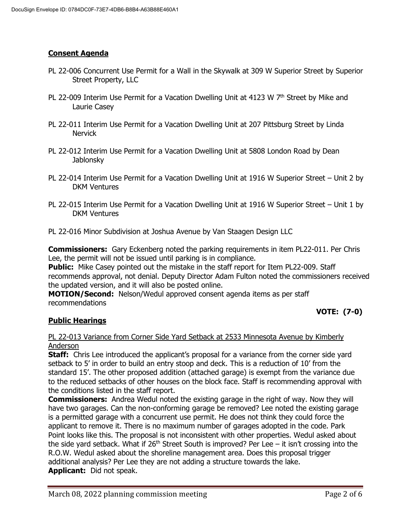# **Consent Agenda**

- PL 22-006 Concurrent Use Permit for a Wall in the Skywalk at 309 W Superior Street by Superior Street Property, LLC
- PL 22-009 Interim Use Permit for a Vacation Dwelling Unit at 4123 W  $7<sup>th</sup>$  Street by Mike and Laurie Casey
- PL 22-011 Interim Use Permit for a Vacation Dwelling Unit at 207 Pittsburg Street by Linda **Nervick**
- PL 22-012 Interim Use Permit for a Vacation Dwelling Unit at 5808 London Road by Dean Jablonsky
- PL 22-014 Interim Use Permit for a Vacation Dwelling Unit at 1916 W Superior Street Unit 2 by DKM Ventures
- PL 22-015 Interim Use Permit for a Vacation Dwelling Unit at 1916 W Superior Street Unit 1 by DKM Ventures
- PL 22-016 Minor Subdivision at Joshua Avenue by Van Staagen Design LLC

**Commissioners:** Gary Eckenberg noted the parking requirements in item PL22-011. Per Chris Lee, the permit will not be issued until parking is in compliance.

**Public:** Mike Casey pointed out the mistake in the staff report for Item PL22-009. Staff recommends approval, not denial. Deputy Director Adam Fulton noted the commissioners received the updated version, and it will also be posted online.

**MOTION/Second:** Nelson/Wedul approved consent agenda items as per staff recommendations

# **VOTE: (7-0)**

# **Public Hearings**

#### PL 22-013 Variance from Corner Side Yard Setback at 2533 Minnesota Avenue by Kimberly Anderson

**Staff:** Chris Lee introduced the applicant's proposal for a variance from the corner side yard setback to 5' in order to build an entry stoop and deck. This is a reduction of 10' from the standard 15'. The other proposed addition (attached garage) is exempt from the variance due to the reduced setbacks of other houses on the block face. Staff is recommending approval with the conditions listed in the staff report.

**Commissioners:** Andrea Wedul noted the existing garage in the right of way. Now they will have two garages. Can the non-conforming garage be removed? Lee noted the existing garage is a permitted garage with a concurrent use permit. He does not think they could force the applicant to remove it. There is no maximum number of garages adopted in the code. Park Point looks like this. The proposal is not inconsistent with other properties. Wedul asked about the side yard setback. What if  $26<sup>th</sup>$  Street South is improved? Per Lee – it isn't crossing into the R.O.W. Wedul asked about the shoreline management area. Does this proposal trigger additional analysis? Per Lee they are not adding a structure towards the lake. **Applicant:** Did not speak.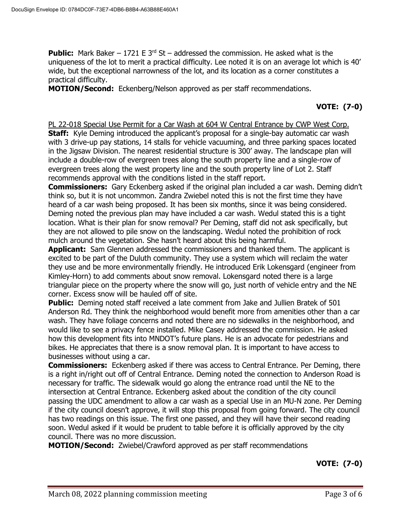**Public:** Mark Baker – 1721 E 3<sup>rd</sup> St – addressed the commission. He asked what is the uniqueness of the lot to merit a practical difficulty. Lee noted it is on an average lot which is 40' wide, but the exceptional narrowness of the lot, and its location as a corner constitutes a practical difficulty.

**MOTION/Second:** Eckenberg/Nelson approved as per staff recommendations.

# **VOTE: (7-0)**

#### PL 22-018 Special Use Permit for a Car Wash at 604 W Central Entrance by CWP West Corp.

**Staff:** Kyle Deming introduced the applicant's proposal for a single-bay automatic car wash with 3 drive-up pay stations, 14 stalls for vehicle vacuuming, and three parking spaces located in the Jigsaw Division. The nearest residential structure is 300' away. The landscape plan will include a double-row of evergreen trees along the south property line and a single-row of evergreen trees along the west property line and the south property line of Lot 2. Staff recommends approval with the conditions listed in the staff report.

**Commissioners:** Gary Eckenberg asked if the original plan included a car wash. Deming didn't think so, but it is not uncommon. Zandra Zwiebel noted this is not the first time they have heard of a car wash being proposed. It has been six months, since it was being considered. Deming noted the previous plan may have included a car wash. Wedul stated this is a tight location. What is their plan for snow removal? Per Deming, staff did not ask specifically, but they are not allowed to pile snow on the landscaping. Wedul noted the prohibition of rock mulch around the vegetation. She hasn't heard about this being harmful.

**Applicant:** Sam Glennen addressed the commissioners and thanked them. The applicant is excited to be part of the Duluth community. They use a system which will reclaim the water they use and be more environmentally friendly. He introduced Erik Lokensgard (engineer from Kimley-Horn) to add comments about snow removal. Lokensgard noted there is a large triangular piece on the property where the snow will go, just north of vehicle entry and the NE corner. Excess snow will be hauled off of site.

**Public:** Deming noted staff received a late comment from Jake and Jullien Bratek of 501 Anderson Rd. They think the neighborhood would benefit more from amenities other than a car wash. They have foliage concerns and noted there are no sidewalks in the neighborhood, and would like to see a privacy fence installed. Mike Casey addressed the commission. He asked how this development fits into MNDOT's future plans. He is an advocate for pedestrians and bikes. He appreciates that there is a snow removal plan. It is important to have access to businesses without using a car.

**Commissioners:** Eckenberg asked if there was access to Central Entrance. Per Deming, there is a right in/right out off of Central Entrance. Deming noted the connection to Anderson Road is necessary for traffic. The sidewalk would go along the entrance road until the NE to the intersection at Central Entrance. Eckenberg asked about the condition of the city council passing the UDC amendment to allow a car wash as a special Use in an MU-N zone. Per Deming if the city council doesn't approve, it will stop this proposal from going forward. The city council has two readings on this issue. The first one passed, and they will have their second reading soon. Wedul asked if it would be prudent to table before it is officially approved by the city council. There was no more discussion.

**MOTION/Second:** Zwiebel/Crawford approved as per staff recommendations

**VOTE: (7-0)**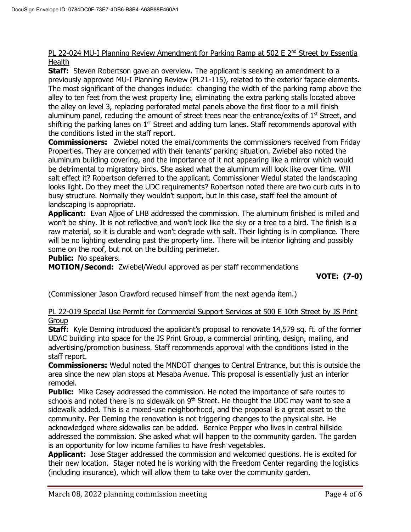#### PL 22-024 MU-I Planning Review Amendment for Parking Ramp at 502 E 2<sup>nd</sup> Street by Essentia **Health**

**Staff:** Steven Robertson gave an overview. The applicant is seeking an amendment to a previously approved MU-I Planning Review (PL21-115), related to the exterior façade elements. The most significant of the changes include: changing the width of the parking ramp above the alley to ten feet from the west property line, eliminating the extra parking stalls located above the alley on level 3, replacing perforated metal panels above the first floor to a mill finish aluminum panel, reducing the amount of street trees near the entrance/exits of  $1<sup>st</sup>$  Street, and shifting the parking lanes on  $1<sup>st</sup>$  Street and adding turn lanes. Staff recommends approval with the conditions listed in the staff report.

**Commissioners:** Zwiebel noted the email/comments the commissioners received from Friday Properties. They are concerned with their tenants' parking situation. Zwiebel also noted the aluminum building covering, and the importance of it not appearing like a mirror which would be detrimental to migratory birds. She asked what the aluminum will look like over time. Will salt effect it? Robertson deferred to the applicant. Commissioner Wedul stated the landscaping looks light. Do they meet the UDC requirements? Robertson noted there are two curb cuts in to busy structure. Normally they wouldn't support, but in this case, staff feel the amount of landscaping is appropriate.

**Applicant:** Evan Aljoe of LHB addressed the commission. The aluminum finished is milled and won't be shiny. It is not reflective and won't look like the sky or a tree to a bird. The finish is a raw material, so it is durable and won't degrade with salt. Their lighting is in compliance. There will be no lighting extending past the property line. There will be interior lighting and possibly some on the roof, but not on the building perimeter.

#### **Public:** No speakers.

**MOTION/Second:** Zwiebel/Wedul approved as per staff recommendations

**VOTE: (7-0)**

(Commissioner Jason Crawford recused himself from the next agenda item.)

### PL 22-019 Special Use Permit for Commercial Support Services at 500 E 10th Street by JS Print Group

**Staff:** Kyle Deming introduced the applicant's proposal to renovate 14,579 sq. ft. of the former UDAC building into space for the JS Print Group, a commercial printing, design, mailing, and advertising/promotion business. Staff recommends approval with the conditions listed in the staff report.

**Commissioners:** Wedul noted the MNDOT changes to Central Entrance, but this is outside the area since the new plan stops at Mesaba Avenue. This proposal is essentially just an interior remodel.

**Public:** Mike Casey addressed the commission. He noted the importance of safe routes to schools and noted there is no sidewalk on  $9<sup>th</sup>$  Street. He thought the UDC may want to see a sidewalk added. This is a mixed-use neighborhood, and the proposal is a great asset to the community. Per Deming the renovation is not triggering changes to the physical site. He acknowledged where sidewalks can be added. Bernice Pepper who lives in central hillside addressed the commission. She asked what will happen to the community garden. The garden is an opportunity for low income families to have fresh vegetables.

**Applicant:** Jose Stager addressed the commission and welcomed questions. He is excited for their new location. Stager noted he is working with the Freedom Center regarding the logistics (including insurance), which will allow them to take over the community garden.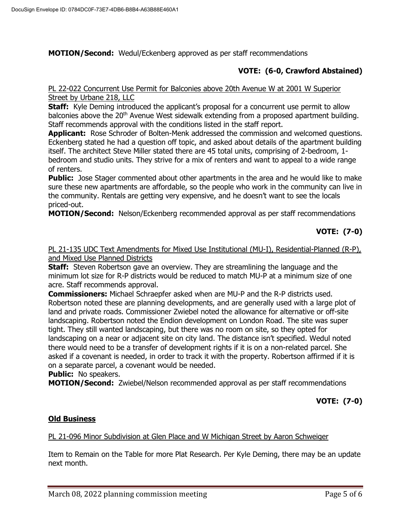**MOTION/Second:** Wedul/Eckenberg approved as per staff recommendations

# **VOTE: (6-0, Crawford Abstained)**

### PL 22-022 Concurrent Use Permit for Balconies above 20th Avenue W at 2001 W Superior Street by Urbane 218, LLC

**Staff:** Kyle Deming introduced the applicant's proposal for a concurrent use permit to allow balconies above the  $20<sup>th</sup>$  Avenue West sidewalk extending from a proposed apartment building. Staff recommends approval with the conditions listed in the staff report.

**Applicant:** Rose Schroder of Bolten-Menk addressed the commission and welcomed questions. Eckenberg stated he had a question off topic, and asked about details of the apartment building itself. The architect Steve Miller stated there are 45 total units, comprising of 2-bedroom, 1 bedroom and studio units. They strive for a mix of renters and want to appeal to a wide range of renters.

**Public:** Jose Stager commented about other apartments in the area and he would like to make sure these new apartments are affordable, so the people who work in the community can live in the community. Rentals are getting very expensive, and he doesn't want to see the locals priced-out.

**MOTION/Second:** Nelson/Eckenberg recommended approval as per staff recommendations

# **VOTE: (7-0)**

PL 21-135 UDC Text Amendments for Mixed Use Institutional (MU-I), Residential-Planned (R-P), and Mixed Use Planned Districts

**Staff:** Steven Robertson gave an overview. They are streamlining the language and the minimum lot size for R-P districts would be reduced to match MU-P at a minimum size of one acre. Staff recommends approval.

**Commissioners:** Michael Schraepfer asked when are MU-P and the R-P districts used. Robertson noted these are planning developments, and are generally used with a large plot of land and private roads. Commissioner Zwiebel noted the allowance for alternative or off-site landscaping. Robertson noted the Endion development on London Road. The site was super tight. They still wanted landscaping, but there was no room on site, so they opted for landscaping on a near or adjacent site on city land. The distance isn't specified. Wedul noted there would need to be a transfer of development rights if it is on a non-related parcel. She asked if a covenant is needed, in order to track it with the property. Robertson affirmed if it is on a separate parcel, a covenant would be needed.

**Public:** No speakers.

**MOTION/Second:** Zwiebel/Nelson recommended approval as per staff recommendations

**VOTE: (7-0)**

# **Old Business**

#### PL 21-096 Minor Subdivision at Glen Place and W Michigan Street by Aaron Schweiger

Item to Remain on the Table for more Plat Research. Per Kyle Deming, there may be an update next month.